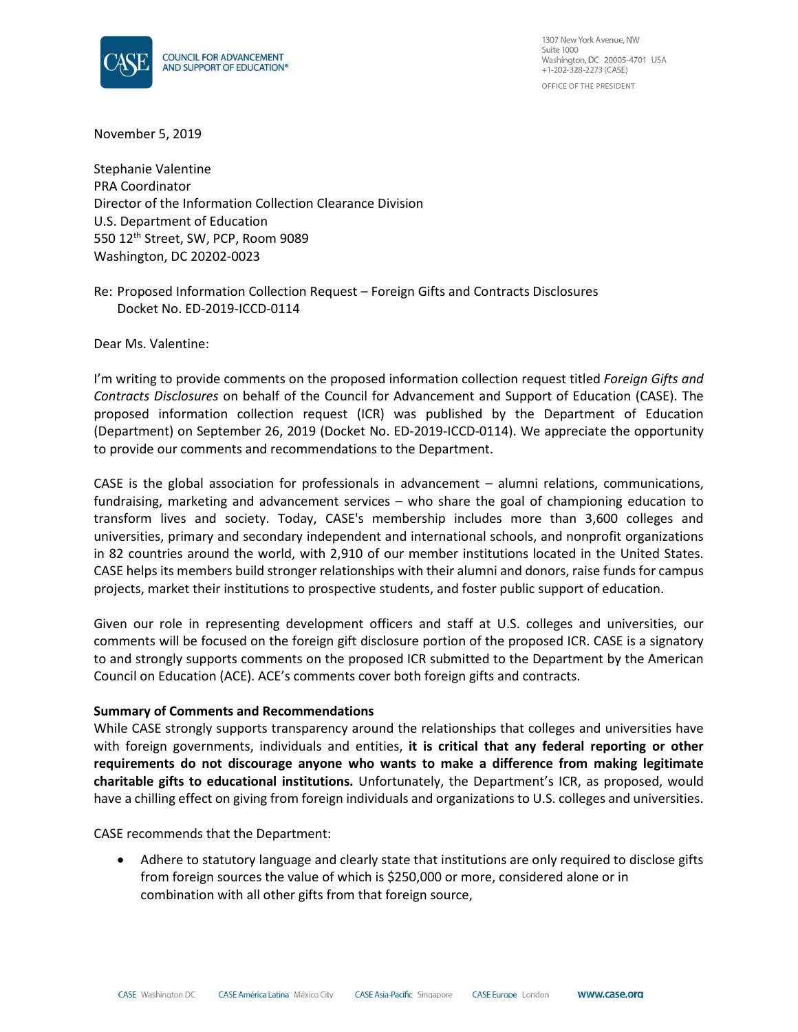

1307 New York Avenue, NW Suite 1000 Washington, DC 20005-4701 USA  $+1-202-328-2273$  (CASE) OFFICE OF THE PRESIDENT

November 5, 2019

Stephanie Valentine PRA Coordinator Director of the Information Collection Clearance Division U.S. Department of Education 550 12th Street, SW, PCP, Room 9089 Washington, DC 20202-0023

Re: Proposed Information Collection Request – Foreign Gifts and Contracts Disclosures Docket No. ED-2019-ICCD-0114

Dear Ms. Valentine:

I'm writing to provide comments on the proposed information collection request titled *Foreign Gifts and Contracts Disclosures* on behalf of the Council for Advancement and Support of Education (CASE). The proposed information collection request (ICR) was published by the Department of Education (Department) on September 26, 2019 (Docket No. ED-2019-ICCD-0114). We appreciate the opportunity to provide our comments and recommendations to the Department.

CASE is the global association for professionals in advancement – alumni relations, communications, fundraising, marketing and advancement services – who share the goal of championing education to transform lives and society. Today, CASE's membership includes more than 3,600 colleges and universities, primary and secondary independent and international schools, and nonprofit organizations in 82 countries around the world, with 2,910 of our member institutions located in the United States. CASE helps its members build stronger relationships with their alumni and donors, raise funds for campus projects, market their institutions to prospective students, and foster public support of education.

Given our role in representing development officers and staff at U.S. colleges and universities, our comments will be focused on the foreign gift disclosure portion of the proposed ICR. CASE is a signatory to and strongly supports comments on the proposed ICR submitted to the Department by the American Council on Education (ACE). ACE's comments cover both foreign gifts and contracts.

### **Summary of Comments and Recommendations**

While CASE strongly supports transparency around the relationships that colleges and universities have with foreign governments, individuals and entities, **it is critical that any federal reporting or other requirements do not discourage anyone who wants to make a difference from making legitimate charitable gifts to educational institutions.** Unfortunately, the Department's ICR, as proposed, would have a chilling effect on giving from foreign individuals and organizations to U.S. colleges and universities.

CASE recommends that the Department:

• Adhere to statutory language and clearly state that institutions are only required to disclose gifts from foreign sources the value of which is \$250,000 or more, considered alone or in combination with all other gifts from that foreign source,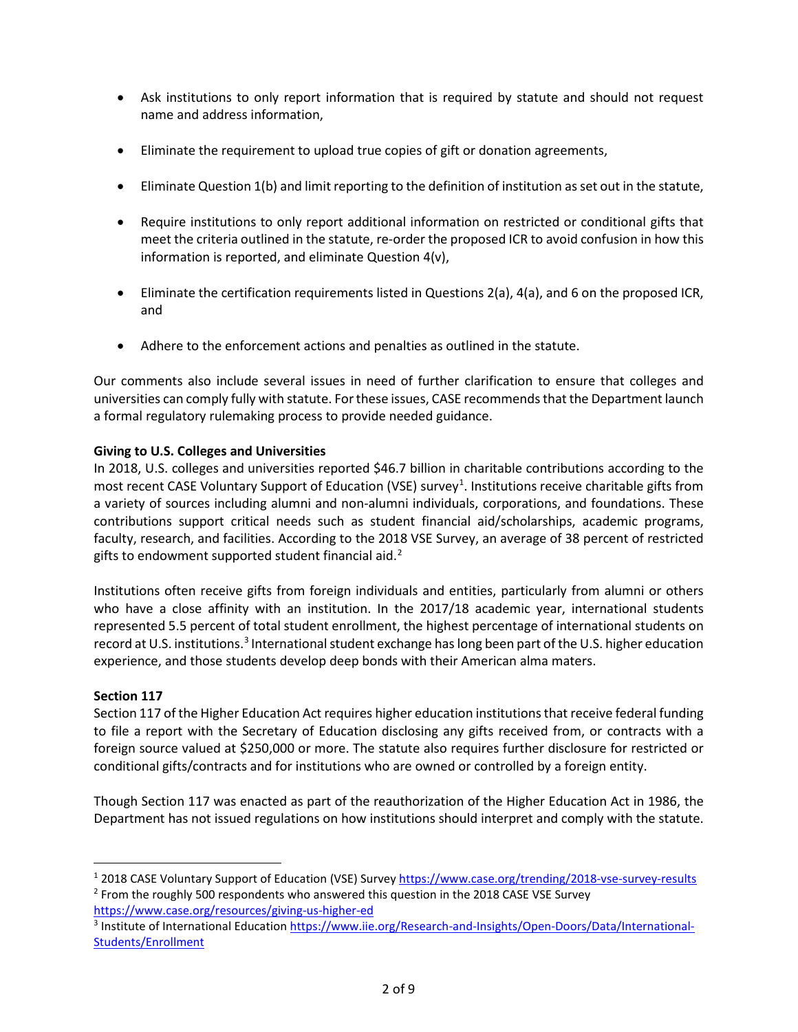- Ask institutions to only report information that is required by statute and should not request name and address information,
- Eliminate the requirement to upload true copies of gift or donation agreements,
- Eliminate Question 1(b) and limit reporting to the definition of institution as set out in the statute,
- Require institutions to only report additional information on restricted or conditional gifts that meet the criteria outlined in the statute, re-order the proposed ICR to avoid confusion in how this information is reported, and eliminate Question 4(v),
- Eliminate the certification requirements listed in Questions 2(a), 4(a), and 6 on the proposed ICR, and
- Adhere to the enforcement actions and penalties as outlined in the statute.

Our comments also include several issues in need of further clarification to ensure that colleges and universities can comply fully with statute. For these issues, CASE recommends that the Department launch a formal regulatory rulemaking process to provide needed guidance.

## **Giving to U.S. Colleges and Universities**

In 2018, U.S. colleges and universities reported \$46.7 billion in charitable contributions according to the most recent CASE Voluntary Support of Education (VSE) survey<sup>[1](#page-1-0)</sup>. Institutions receive charitable gifts from a variety of sources including alumni and non-alumni individuals, corporations, and foundations. These contributions support critical needs such as student financial aid/scholarships, academic programs, faculty, research, and facilities. According to the 2018 VSE Survey, an average of 38 percent of restricted gifts to endowment supported student financial aid. $2$ 

Institutions often receive gifts from foreign individuals and entities, particularly from alumni or others who have a close affinity with an institution. In the 2017/18 academic year, international students represented 5.5 percent of total student enrollment, the highest percentage of international students on record at U.S. institutions.<sup>3</sup> International student exchange has long been part of the U.S. higher education experience, and those students develop deep bonds with their American alma maters.

## **Section 117**

Section 117 of the Higher Education Act requires higher education institutions that receive federal funding to file a report with the Secretary of Education disclosing any gifts received from, or contracts with a foreign source valued at \$250,000 or more. The statute also requires further disclosure for restricted or conditional gifts/contracts and for institutions who are owned or controlled by a foreign entity.

Though Section 117 was enacted as part of the reauthorization of the Higher Education Act in 1986, the Department has not issued regulations on how institutions should interpret and comply with the statute.

<span id="page-1-1"></span><span id="page-1-0"></span><sup>&</sup>lt;sup>1</sup> 2018 CASE Voluntary Support of Education (VSE) Surve[y https://www.case.org/trending/2018-vse-survey-results](https://www.case.org/trending/2018-vse-survey-results) <sup>2</sup> From the roughly 500 respondents who answered this question in the 2018 CASE VSE Survey

<https://www.case.org/resources/giving-us-higher-ed>

<span id="page-1-2"></span><sup>3</sup> Institute of International Educatio[n https://www.iie.org/Research-and-Insights/Open-Doors/Data/International-](https://www.iie.org/Research-and-Insights/Open-Doors/Data/International-Students/Enrollment)[Students/Enrollment](https://www.iie.org/Research-and-Insights/Open-Doors/Data/International-Students/Enrollment)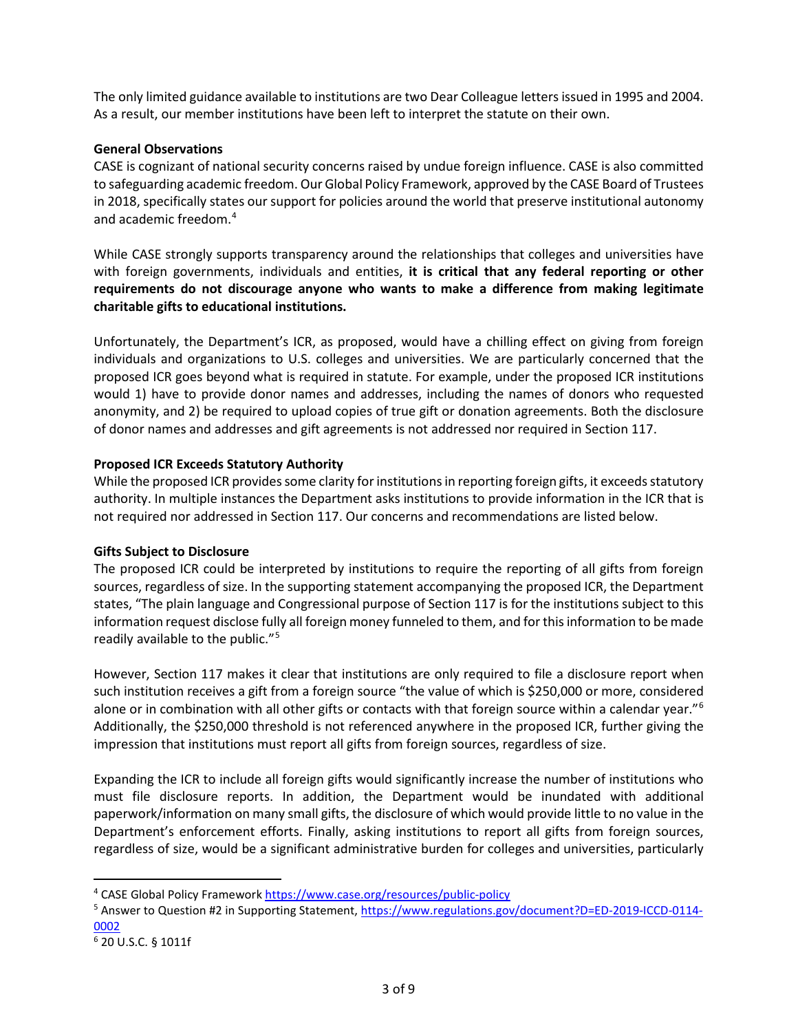The only limited guidance available to institutions are two Dear Colleague letters issued in 1995 and 2004. As a result, our member institutions have been left to interpret the statute on their own.

## **General Observations**

CASE is cognizant of national security concerns raised by undue foreign influence. CASE is also committed to safeguarding academic freedom. Our Global Policy Framework, approved by the CASE Board of Trustees in 2018, specifically states our support for policies around the world that preserve institutional autonomy and academic freedom.[4](#page-2-0)

While CASE strongly supports transparency around the relationships that colleges and universities have with foreign governments, individuals and entities, **it is critical that any federal reporting or other requirements do not discourage anyone who wants to make a difference from making legitimate charitable gifts to educational institutions.** 

Unfortunately, the Department's ICR, as proposed, would have a chilling effect on giving from foreign individuals and organizations to U.S. colleges and universities. We are particularly concerned that the proposed ICR goes beyond what is required in statute. For example, under the proposed ICR institutions would 1) have to provide donor names and addresses, including the names of donors who requested anonymity, and 2) be required to upload copies of true gift or donation agreements. Both the disclosure of donor names and addresses and gift agreements is not addressed nor required in Section 117.

# **Proposed ICR Exceeds Statutory Authority**

While the proposed ICR provides some clarity for institutions in reporting foreign gifts, it exceeds statutory authority. In multiple instances the Department asks institutions to provide information in the ICR that is not required nor addressed in Section 117. Our concerns and recommendations are listed below.

## **Gifts Subject to Disclosure**

The proposed ICR could be interpreted by institutions to require the reporting of all gifts from foreign sources, regardless of size. In the supporting statement accompanying the proposed ICR, the Department states, "The plain language and Congressional purpose of Section 117 is for the institutions subject to this information request disclose fully all foreign money funneled to them, and for this information to be made readily available to the public."[5](#page-2-1)

However, Section 117 makes it clear that institutions are only required to file a disclosure report when such institution receives a gift from a foreign source "the value of which is \$250,000 or more, considered alone or in combination with all other gifts or contacts with that foreign source within a calendar year."<sup>[6](#page-2-2)</sup> Additionally, the \$250,000 threshold is not referenced anywhere in the proposed ICR, further giving the impression that institutions must report all gifts from foreign sources, regardless of size.

Expanding the ICR to include all foreign gifts would significantly increase the number of institutions who must file disclosure reports. In addition, the Department would be inundated with additional paperwork/information on many small gifts, the disclosure of which would provide little to no value in the Department's enforcement efforts. Finally, asking institutions to report all gifts from foreign sources, regardless of size, would be a significant administrative burden for colleges and universities, particularly

<span id="page-2-0"></span><sup>4</sup> CASE Global Policy Framewor[k https://www.case.org/resources/public-policy](https://www.case.org/resources/public-policy)

<span id="page-2-1"></span><sup>5</sup> Answer to Question #2 in Supporting Statement, [https://www.regulations.gov/document?D=ED-2019-ICCD-0114-](https://www.regulations.gov/document?D=ED-2019-ICCD-0114-0002) [0002](https://www.regulations.gov/document?D=ED-2019-ICCD-0114-0002)

<span id="page-2-2"></span><sup>6</sup> 20 U.S.C. § 1011f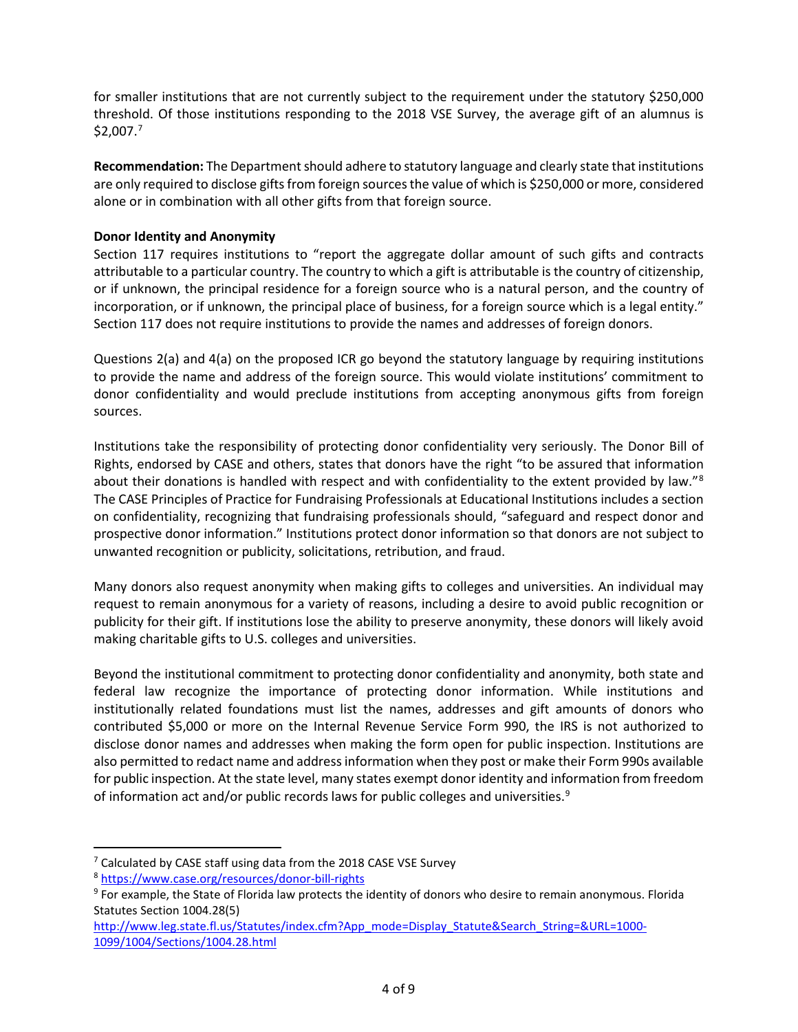for smaller institutions that are not currently subject to the requirement under the statutory \$250,000 threshold. Of those institutions responding to the 2018 VSE Survey, the average gift of an alumnus is \$2,007.[7](#page-3-0)

**Recommendation:** The Department should adhere to statutory language and clearly state that institutions are only required to disclose gifts from foreign sources the value of which is \$250,000 or more, considered alone or in combination with all other gifts from that foreign source.

# **Donor Identity and Anonymity**

Section 117 requires institutions to "report the aggregate dollar amount of such gifts and contracts attributable to a particular country. The country to which a gift is attributable is the country of citizenship, or if unknown, the principal residence for a foreign source who is a natural person, and the country of incorporation, or if unknown, the principal place of business, for a foreign source which is a legal entity." Section 117 does not require institutions to provide the names and addresses of foreign donors.

Questions 2(a) and 4(a) on the proposed ICR go beyond the statutory language by requiring institutions to provide the name and address of the foreign source. This would violate institutions' commitment to donor confidentiality and would preclude institutions from accepting anonymous gifts from foreign sources.

Institutions take the responsibility of protecting donor confidentiality very seriously. The Donor Bill of Rights, endorsed by CASE and others, states that donors have the right "to be assured that information about their donations is handled with respect and with confidentiality to the extent provided by law."<sup>[8](#page-3-1)</sup> The CASE Principles of Practice for Fundraising Professionals at Educational Institutions includes a section on confidentiality, recognizing that fundraising professionals should, "safeguard and respect donor and prospective donor information." Institutions protect donor information so that donors are not subject to unwanted recognition or publicity, solicitations, retribution, and fraud.

Many donors also request anonymity when making gifts to colleges and universities. An individual may request to remain anonymous for a variety of reasons, including a desire to avoid public recognition or publicity for their gift. If institutions lose the ability to preserve anonymity, these donors will likely avoid making charitable gifts to U.S. colleges and universities.

Beyond the institutional commitment to protecting donor confidentiality and anonymity, both state and federal law recognize the importance of protecting donor information. While institutions and institutionally related foundations must list the names, addresses and gift amounts of donors who contributed \$5,000 or more on the Internal Revenue Service Form 990, the IRS is not authorized to disclose donor names and addresses when making the form open for public inspection. Institutions are also permitted to redact name and address information when they post or make their Form 990s available for public inspection. At the state level, many states exempt donor identity and information from freedom of information act and/or public records laws for public colleges and universities.<sup>[9](#page-3-2)</sup>

<span id="page-3-0"></span><sup>&</sup>lt;sup>7</sup> Calculated by CASE staff using data from the 2018 CASE VSE Survey

<span id="page-3-1"></span><sup>8</sup> <https://www.case.org/resources/donor-bill-rights>

<span id="page-3-2"></span><sup>&</sup>lt;sup>9</sup> For example, the State of Florida law protects the identity of donors who desire to remain anonymous. Florida Statutes Section 1004.28(5)

[http://www.leg.state.fl.us/Statutes/index.cfm?App\\_mode=Display\\_Statute&Search\\_String=&URL=1000-](http://www.leg.state.fl.us/Statutes/index.cfm?App_mode=Display_Statute&Search_String=&URL=1000-1099/1004/Sections/1004.28.html) [1099/1004/Sections/1004.28.html](http://www.leg.state.fl.us/Statutes/index.cfm?App_mode=Display_Statute&Search_String=&URL=1000-1099/1004/Sections/1004.28.html)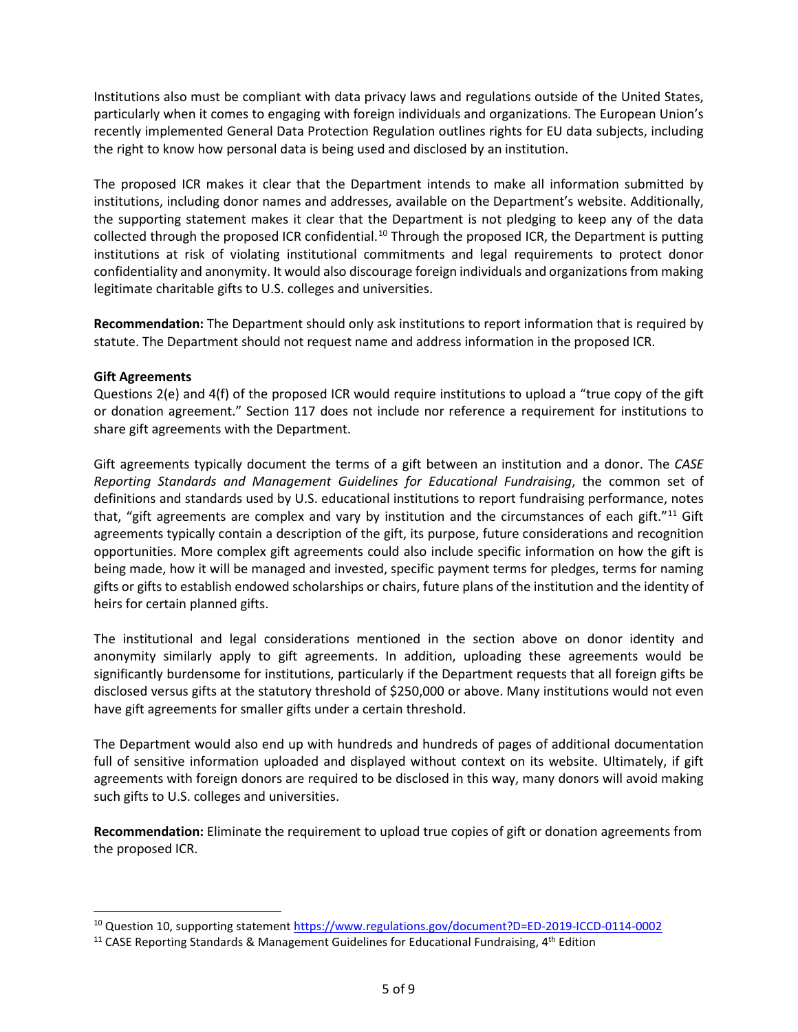Institutions also must be compliant with data privacy laws and regulations outside of the United States, particularly when it comes to engaging with foreign individuals and organizations. The European Union's recently implemented General Data Protection Regulation outlines rights for EU data subjects, including the right to know how personal data is being used and disclosed by an institution.

The proposed ICR makes it clear that the Department intends to make all information submitted by institutions, including donor names and addresses, available on the Department's website. Additionally, the supporting statement makes it clear that the Department is not pledging to keep any of the data collected through the proposed ICR confidential.<sup>[10](#page-4-0)</sup> Through the proposed ICR, the Department is putting institutions at risk of violating institutional commitments and legal requirements to protect donor confidentiality and anonymity. It would also discourage foreign individuals and organizations from making legitimate charitable gifts to U.S. colleges and universities.

**Recommendation:** The Department should only ask institutions to report information that is required by statute. The Department should not request name and address information in the proposed ICR.

## **Gift Agreements**

Questions 2(e) and 4(f) of the proposed ICR would require institutions to upload a "true copy of the gift or donation agreement." Section 117 does not include nor reference a requirement for institutions to share gift agreements with the Department.

Gift agreements typically document the terms of a gift between an institution and a donor. The *CASE Reporting Standards and Management Guidelines for Educational Fundraising*, the common set of definitions and standards used by U.S. educational institutions to report fundraising performance, notes that, "gift agreements are complex and vary by institution and the circumstances of each gift."<sup>[11](#page-4-1)</sup> Gift agreements typically contain a description of the gift, its purpose, future considerations and recognition opportunities. More complex gift agreements could also include specific information on how the gift is being made, how it will be managed and invested, specific payment terms for pledges, terms for naming gifts or gifts to establish endowed scholarships or chairs, future plans of the institution and the identity of heirs for certain planned gifts.

The institutional and legal considerations mentioned in the section above on donor identity and anonymity similarly apply to gift agreements. In addition, uploading these agreements would be significantly burdensome for institutions, particularly if the Department requests that all foreign gifts be disclosed versus gifts at the statutory threshold of \$250,000 or above. Many institutions would not even have gift agreements for smaller gifts under a certain threshold.

The Department would also end up with hundreds and hundreds of pages of additional documentation full of sensitive information uploaded and displayed without context on its website. Ultimately, if gift agreements with foreign donors are required to be disclosed in this way, many donors will avoid making such gifts to U.S. colleges and universities.

**Recommendation:** Eliminate the requirement to upload true copies of gift or donation agreements from the proposed ICR.

<span id="page-4-0"></span><sup>10</sup> Question 10, supporting statemen[t https://www.regulations.gov/document?D=ED-2019-ICCD-0114-0002](https://www.regulations.gov/document?D=ED-2019-ICCD-0114-0002)

<span id="page-4-1"></span><sup>&</sup>lt;sup>11</sup> CASE Reporting Standards & Management Guidelines for Educational Fundraising,  $4<sup>th</sup>$  Edition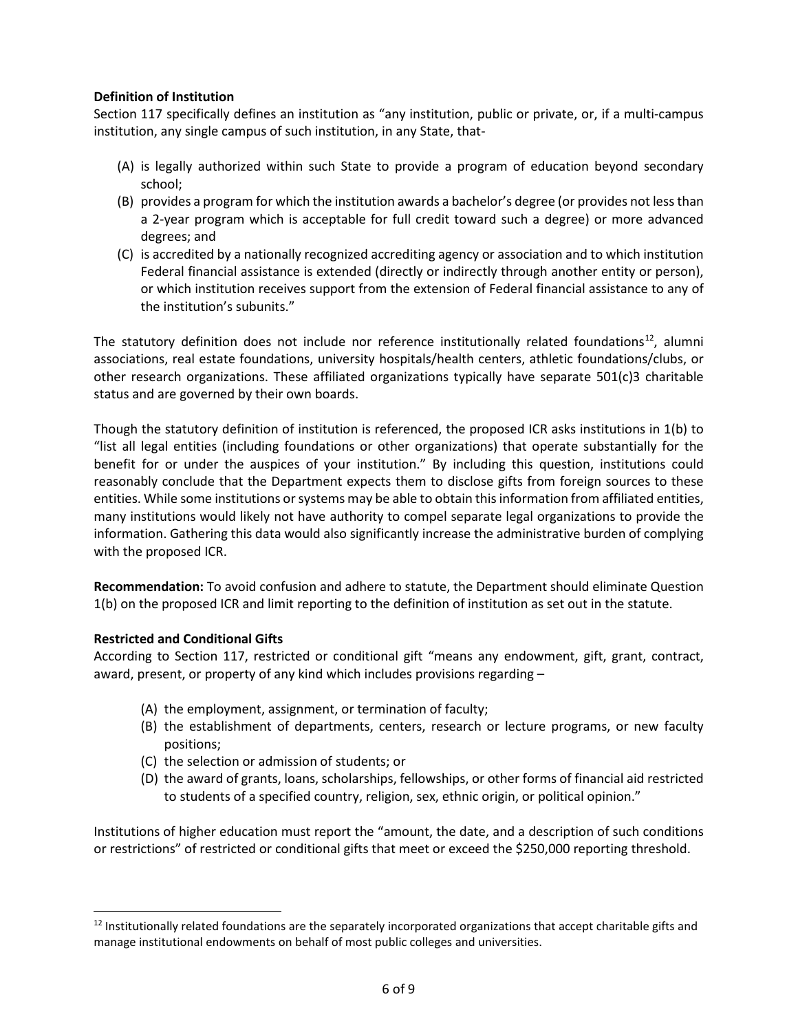# **Definition of Institution**

Section 117 specifically defines an institution as "any institution, public or private, or, if a multi-campus institution, any single campus of such institution, in any State, that-

- (A) is legally authorized within such State to provide a program of education beyond secondary school;
- (B) provides a program for which the institution awards a bachelor's degree (or provides not less than a 2-year program which is acceptable for full credit toward such a degree) or more advanced degrees; and
- (C) is accredited by a nationally recognized accrediting agency or association and to which institution Federal financial assistance is extended (directly or indirectly through another entity or person), or which institution receives support from the extension of Federal financial assistance to any of the institution's subunits."

The statutory definition does not include nor reference institutionally related foundations<sup>12</sup>, alumni associations, real estate foundations, university hospitals/health centers, athletic foundations/clubs, or other research organizations. These affiliated organizations typically have separate 501(c)3 charitable status and are governed by their own boards.

Though the statutory definition of institution is referenced, the proposed ICR asks institutions in 1(b) to "list all legal entities (including foundations or other organizations) that operate substantially for the benefit for or under the auspices of your institution." By including this question, institutions could reasonably conclude that the Department expects them to disclose gifts from foreign sources to these entities. While some institutions or systems may be able to obtain this information from affiliated entities, many institutions would likely not have authority to compel separate legal organizations to provide the information. Gathering this data would also significantly increase the administrative burden of complying with the proposed ICR.

**Recommendation:** To avoid confusion and adhere to statute, the Department should eliminate Question 1(b) on the proposed ICR and limit reporting to the definition of institution as set out in the statute.

# **Restricted and Conditional Gifts**

According to Section 117, restricted or conditional gift "means any endowment, gift, grant, contract, award, present, or property of any kind which includes provisions regarding –

- (A) the employment, assignment, or termination of faculty;
- (B) the establishment of departments, centers, research or lecture programs, or new faculty positions;
- (C) the selection or admission of students; or
- (D) the award of grants, loans, scholarships, fellowships, or other forms of financial aid restricted to students of a specified country, religion, sex, ethnic origin, or political opinion."

Institutions of higher education must report the "amount, the date, and a description of such conditions or restrictions" of restricted or conditional gifts that meet or exceed the \$250,000 reporting threshold.

<span id="page-5-0"></span> $12$  Institutionally related foundations are the separately incorporated organizations that accept charitable gifts and manage institutional endowments on behalf of most public colleges and universities.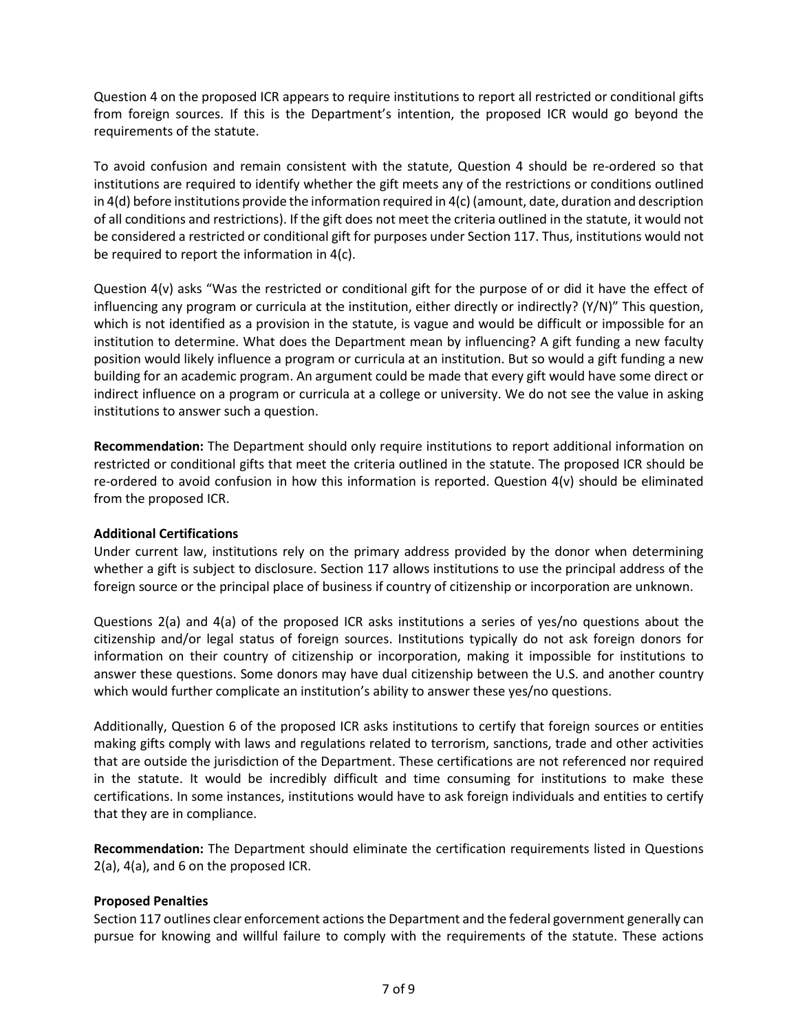Question 4 on the proposed ICR appears to require institutions to report all restricted or conditional gifts from foreign sources. If this is the Department's intention, the proposed ICR would go beyond the requirements of the statute.

To avoid confusion and remain consistent with the statute, Question 4 should be re-ordered so that institutions are required to identify whether the gift meets any of the restrictions or conditions outlined in 4(d) before institutions provide the information required in 4(c) (amount, date, duration and description of all conditions and restrictions). If the gift does not meet the criteria outlined in the statute, it would not be considered a restricted or conditional gift for purposes under Section 117. Thus, institutions would not be required to report the information in 4(c).

Question 4(v) asks "Was the restricted or conditional gift for the purpose of or did it have the effect of influencing any program or curricula at the institution, either directly or indirectly? (Y/N)" This question, which is not identified as a provision in the statute, is vague and would be difficult or impossible for an institution to determine. What does the Department mean by influencing? A gift funding a new faculty position would likely influence a program or curricula at an institution. But so would a gift funding a new building for an academic program. An argument could be made that every gift would have some direct or indirect influence on a program or curricula at a college or university. We do not see the value in asking institutions to answer such a question.

**Recommendation:** The Department should only require institutions to report additional information on restricted or conditional gifts that meet the criteria outlined in the statute. The proposed ICR should be re-ordered to avoid confusion in how this information is reported. Question 4(v) should be eliminated from the proposed ICR.

## **Additional Certifications**

Under current law, institutions rely on the primary address provided by the donor when determining whether a gift is subject to disclosure. Section 117 allows institutions to use the principal address of the foreign source or the principal place of business if country of citizenship or incorporation are unknown.

Questions 2(a) and 4(a) of the proposed ICR asks institutions a series of yes/no questions about the citizenship and/or legal status of foreign sources. Institutions typically do not ask foreign donors for information on their country of citizenship or incorporation, making it impossible for institutions to answer these questions. Some donors may have dual citizenship between the U.S. and another country which would further complicate an institution's ability to answer these yes/no questions.

Additionally, Question 6 of the proposed ICR asks institutions to certify that foreign sources or entities making gifts comply with laws and regulations related to terrorism, sanctions, trade and other activities that are outside the jurisdiction of the Department. These certifications are not referenced nor required in the statute. It would be incredibly difficult and time consuming for institutions to make these certifications. In some instances, institutions would have to ask foreign individuals and entities to certify that they are in compliance.

**Recommendation:** The Department should eliminate the certification requirements listed in Questions 2(a), 4(a), and 6 on the proposed ICR.

## **Proposed Penalties**

Section 117 outlines clear enforcement actions the Department and the federal government generally can pursue for knowing and willful failure to comply with the requirements of the statute. These actions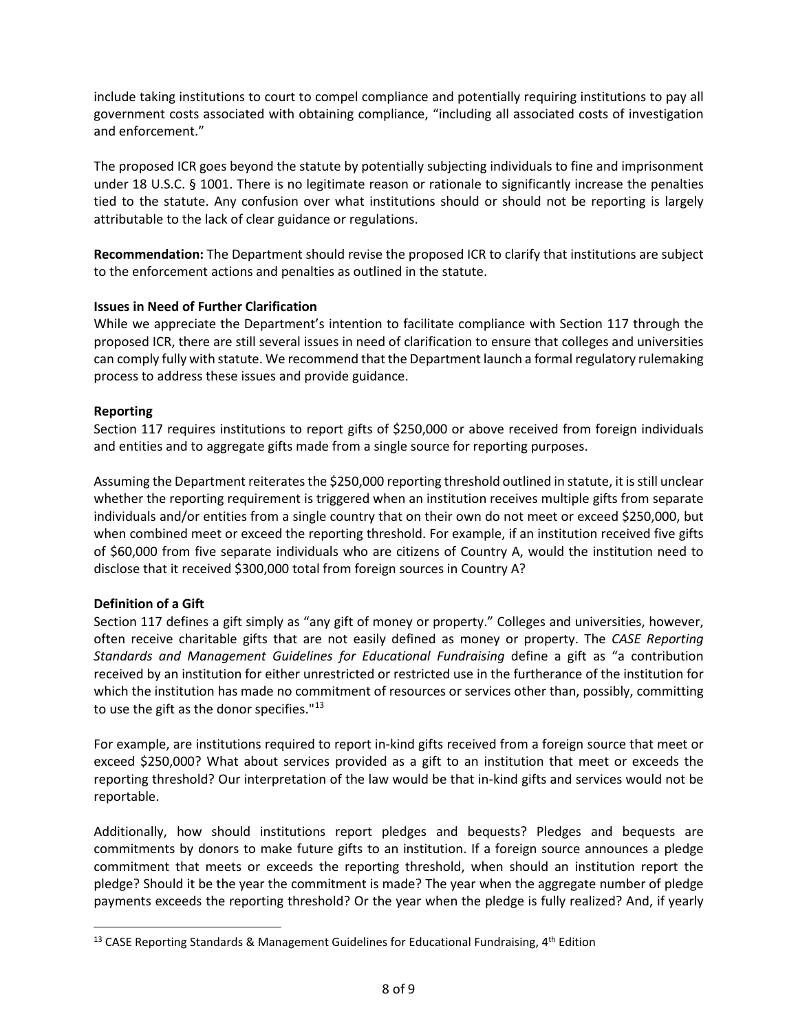include taking institutions to court to compel compliance and potentially requiring institutions to pay all government costs associated with obtaining compliance, "including all associated costs of investigation and enforcement."

The proposed ICR goes beyond the statute by potentially subjecting individuals to fine and imprisonment under 18 U.S.C. § 1001. There is no legitimate reason or rationale to significantly increase the penalties tied to the statute. Any confusion over what institutions should or should not be reporting is largely attributable to the lack of clear guidance or regulations.

**Recommendation:** The Department should revise the proposed ICR to clarify that institutions are subject to the enforcement actions and penalties as outlined in the statute.

## **Issues in Need of Further Clarification**

While we appreciate the Department's intention to facilitate compliance with Section 117 through the proposed ICR, there are still several issues in need of clarification to ensure that colleges and universities can comply fully with statute. We recommend that the Department launch a formal regulatory rulemaking process to address these issues and provide guidance.

## **Reporting**

Section 117 requires institutions to report gifts of \$250,000 or above received from foreign individuals and entities and to aggregate gifts made from a single source for reporting purposes.

Assuming the Department reiterates the \$250,000 reporting threshold outlined in statute, it isstill unclear whether the reporting requirement is triggered when an institution receives multiple gifts from separate individuals and/or entities from a single country that on their own do not meet or exceed \$250,000, but when combined meet or exceed the reporting threshold. For example, if an institution received five gifts of \$60,000 from five separate individuals who are citizens of Country A, would the institution need to disclose that it received \$300,000 total from foreign sources in Country A?

## **Definition of a Gift**

Section 117 defines a gift simply as "any gift of money or property." Colleges and universities, however, often receive charitable gifts that are not easily defined as money or property. The *CASE Reporting Standards and Management Guidelines for Educational Fundraising* define a gift as "a contribution received by an institution for either unrestricted or restricted use in the furtherance of the institution for which the institution has made no commitment of resources or services other than, possibly, committing to use the gift as the donor specifies."<sup>[13](#page-7-0)</sup>

For example, are institutions required to report in-kind gifts received from a foreign source that meet or exceed \$250,000? What about services provided as a gift to an institution that meet or exceeds the reporting threshold? Our interpretation of the law would be that in-kind gifts and services would not be reportable.

Additionally, how should institutions report pledges and bequests? Pledges and bequests are commitments by donors to make future gifts to an institution. If a foreign source announces a pledge commitment that meets or exceeds the reporting threshold, when should an institution report the pledge? Should it be the year the commitment is made? The year when the aggregate number of pledge payments exceeds the reporting threshold? Or the year when the pledge is fully realized? And, if yearly

<span id="page-7-0"></span><sup>&</sup>lt;sup>13</sup> CASE Reporting Standards & Management Guidelines for Educational Fundraising,  $4<sup>th</sup>$  Edition